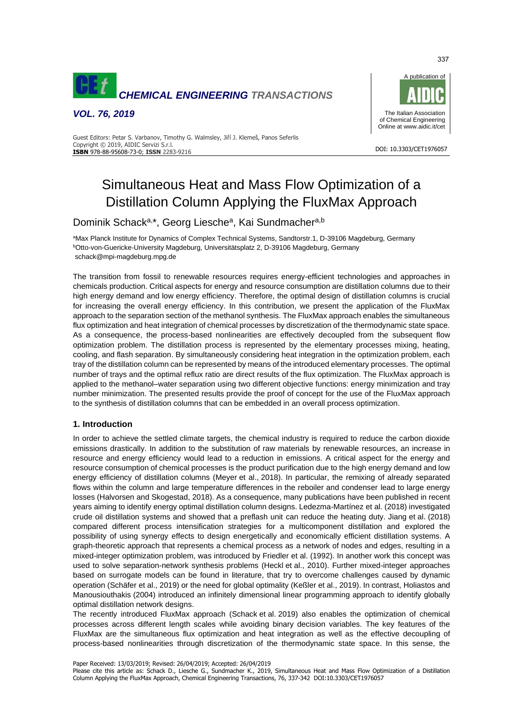

*VOL. 76, 2019*



#### Guest Editors: Petar S. Varbanov, Timothy G. Walmsley, Jiří J. Klemeš, Panos Seferlis Copyright © 2019, AIDIC Servizi S.r.l. **ISBN** 978-88-95608-73-0; **ISSN** 2283-9216 DOI: 10.3303/CET1976057

# Simultaneous Heat and Mass Flow Optimization of a Distillation Column Applying the FluxMax Approach

## Dominik Schack<sup>a,\*</sup>, Georg Liesche<sup>a</sup>, Kai Sundmacher<sup>a,b</sup>

<sup>a</sup>Max Planck Institute for Dynamics of Complex Technical Systems, Sandtorstr.1, D-39106 Magdeburg, Germany <sup>b</sup>Otto-von-Guericke-University Magdeburg, Universitätsplatz 2, D-39106 Magdeburg, Germany schack@mpi-magdeburg.mpg.de

The transition from fossil to renewable resources requires energy-efficient technologies and approaches in chemicals production. Critical aspects for energy and resource consumption are distillation columns due to their high energy demand and low energy efficiency. Therefore, the optimal design of distillation columns is crucial for increasing the overall energy efficiency. In this contribution, we present the application of the FluxMax approach to the separation section of the methanol synthesis. The FluxMax approach enables the simultaneous flux optimization and heat integration of chemical processes by discretization of the thermodynamic state space. As a consequence, the process-based nonlinearities are effectively decoupled from the subsequent flow optimization problem. The distillation process is represented by the elementary processes mixing, heating, cooling, and flash separation. By simultaneously considering heat integration in the optimization problem, each tray of the distillation column can be represented by means of the introduced elementary processes. The optimal number of trays and the optimal reflux ratio are direct results of the flux optimization. The FluxMax approach is applied to the methanol–water separation using two different objective functions: energy minimization and tray number minimization. The presented results provide the proof of concept for the use of the FluxMax approach to the synthesis of distillation columns that can be embedded in an overall process optimization.

### **1. Introduction**

In order to achieve the settled climate targets, the chemical industry is required to reduce the carbon dioxide emissions drastically. In addition to the substitution of raw materials by renewable resources, an increase in resource and energy efficiency would lead to a reduction in emissions. A critical aspect for the energy and resource consumption of chemical processes is the product purification due to the high energy demand and low energy efficiency of distillation columns (Meyer et al., 2018). In particular, the remixing of already separated flows within the column and large temperature differences in the reboiler and condenser lead to large energy losses (Halvorsen and Skogestad, 2018). As a consequence, many publications have been published in recent years aiming to identify energy optimal distillation column designs. Ledezma-Martínez et al. (2018) investigated crude oil distillation systems and showed that a preflash unit can reduce the heating duty. Jiang et al. (2018) compared different process intensification strategies for a multicomponent distillation and explored the possibility of using synergy effects to design energetically and economically efficient distillation systems. A graph-theoretic approach that represents a chemical process as a network of nodes and edges, resulting in a mixed-integer optimization problem, was introduced by Friedler et al. (1992). In another work this concept was used to solve separation-network synthesis problems (Heckl et al., 2010). Further mixed-integer approaches based on surrogate models can be found in literature, that try to overcome challenges caused by dynamic operation (Schäfer et al., 2019) or the need for global optimality (Keßler et al., 2019). In contrast, Holiastos and Manousiouthakis (2004) introduced an infinitely dimensional linear programming approach to identify globally optimal distillation network designs.

The recently introduced FluxMax approach (Schack et al. 2019) also enables the optimization of chemical processes across different length scales while avoiding binary decision variables. The key features of the FluxMax are the simultaneous flux optimization and heat integration as well as the effective decoupling of process-based nonlinearities through discretization of the thermodynamic state space. In this sense, the

Paper Received: 13/03/2019; Revised: 26/04/2019; Accepted: 26/04/2019

Please cite this article as: Schack D., Liesche G., Sundmacher K., 2019, Simultaneous Heat and Mass Flow Optimization of a Distillation Column Applying the FluxMax Approach, Chemical Engineering Transactions, 76, 337-342 DOI:10.3303/CET1976057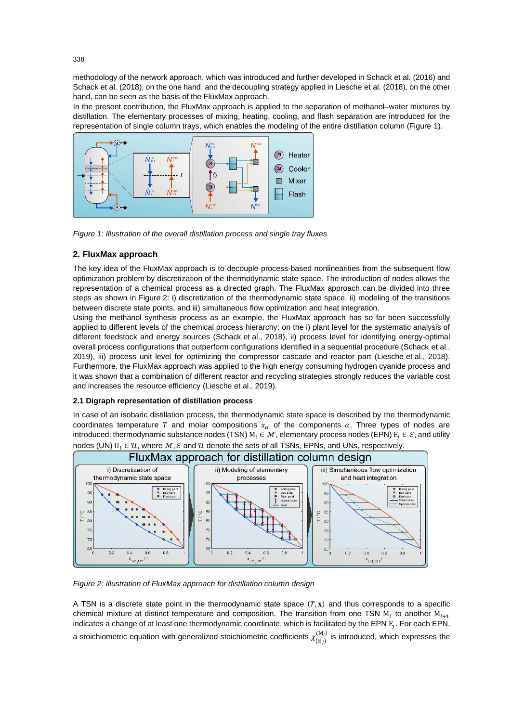methodology of the network approach, which was introduced and further developed in Schack et al. (2016) and Schack et al. (2018), on the one hand, and the decoupling strategy applied in Liesche et al. (2018), on the other hand, can be seen as the basis of the FluxMax approach.

In the present contribution, the FluxMax approach is applied to the separation of methanol–water mixtures by distillation. The elementary processes of mixing, heating, cooling, and flash separation are introduced for the representation of single column trays, which enables the modeling of the entire distillation column (Figure 1).



*Figure 1: Illustration of the overall distillation process and single tray fluxes* 

## **2. FluxMax approach**

The key idea of the FluxMax approach is to decouple process-based nonlinearities from the subsequent flow optimization problem by discretization of the thermodynamic state space. The introduction of nodes allows the representation of a chemical process as a directed graph. The FluxMax approach can be divided into three steps as shown in Figure 2: i) discretization of the thermodynamic state space, ii) modeling of the transitions between discrete state points, and iii) simultaneous flow optimization and heat integration.

Using the methanol synthesis process as an example, the FluxMax approach has so far been successfully applied to different levels of the chemical process hierarchy: on the i) plant level for the systematic analysis of different feedstock and energy sources (Schack et al., 2018), ii) process level for identifying energy-optimal overall process configurations that outperform configurations identified in a sequential procedure (Schack et al., 2019), iii) process unit level for optimizing the compressor cascade and reactor part (Liesche et al., 2018). Furthermore, the FluxMax approach was applied to the high energy consuming hydrogen cyanide process and it was shown that a combination of different reactor and recycling strategies strongly reduces the variable cost and increases the resource efficiency (Liesche et al., 2019).

### **2.1 Digraph representation of distillation process**

In case of an isobaric distillation process, the thermodynamic state space is described by the thermodynamic coordinates temperature T and molar compositions  $x_{\alpha}$  of the components  $\alpha$ . Three types of nodes are introduced: thermodynamic substance nodes (TSN)  $M_i \in \mathcal{M}$ , elementary process nodes (EPN)  $E_i \in \mathcal{E}$ , and utility nodes (UN)  $U_l \in \mathcal{U}$ , where  $\mathcal{M}, \mathcal{E}$  and  $\mathcal{U}$  denote the sets of all TSNs, EPNs, and UNs, respectively.



*Figure 2: Illustration of FluxMax approach for distillation column design*

A TSN is a discrete state point in the thermodynamic state space  $(T, x)$  and thus corresponds to a specific chemical mixture at distinct temperature and composition. The transition from one TSN  $M_i$  to another  $M_{i+1}$ indicates a change of at least one thermodynamic coordinate, which is facilitated by the EPN  $\rm E_{\it j}$ . For each EPN, a stoichiometric equation with generalized stoichiometric coefficients  $\chi^{(M_i)}_{(E_j)}$  is introduced, which expresses the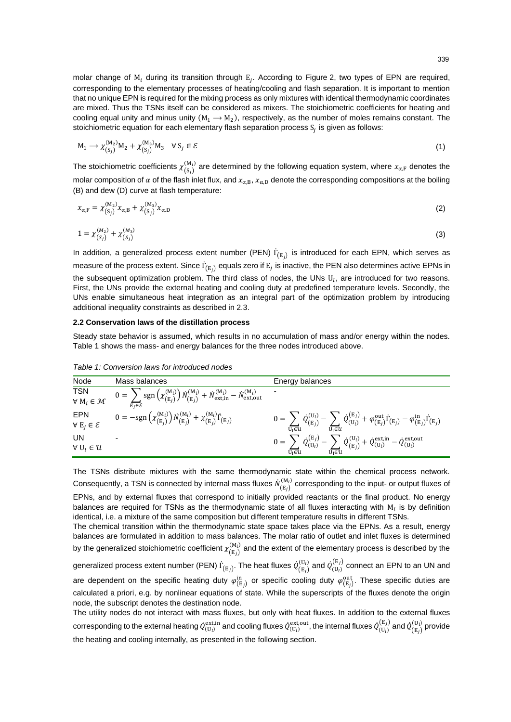molar change of  $M_i$  during its transition through  $E_j$ . According to Figure 2, two types of EPN are required, corresponding to the elementary processes of heating/cooling and flash separation. It is important to mention that no unique EPN is required for the mixing process as only mixtures with identical thermodynamic coordinates are mixed. Thus the TSNs itself can be considered as mixers. The stoichiometric coefficients for heating and cooling equal unity and minus unity  $(M_1 \rightarrow M_2)$ , respectively, as the number of moles remains constant. The stoichiometric equation for each elementary flash separation process  $\mathrm{S}_j$  is given as follows:

$$
M_1 \longrightarrow \chi_{(S_j)}^{(M_2)} M_2 + \chi_{(S_j)}^{(M_3)} M_3 \quad \forall S_j \in \mathcal{E}
$$
\n
$$
\tag{1}
$$

The stoichiometric coefficients  $\chi_{(S_j)}^{(M_i)}$  are determined by the following equation system, where  $x_{\alpha,F}$  denotes the molar composition of  $\alpha$  of the flash inlet flux, and  $x_{\alpha,B}$ ,  $x_{\alpha,D}$  denote the corresponding compositions at the boiling (B) and dew (D) curve at flash temperature:

$$
x_{\alpha,F} = \chi_{(S_j)}^{(M_2)} x_{\alpha,B} + \chi_{(S_j)}^{(M_3)} x_{\alpha,D}
$$
 (2)

$$
1 = \chi_{(S_j)}^{(M_2)} + \chi_{(S_j)}^{(M_3)}
$$
(3)

In addition, a generalized process extent number (PEN)  $\dot{\Gamma}_{(E_j)}$  is introduced for each EPN, which serves as measure of the process extent. Since  $\dot{\Gamma}_{(E_j)}$  equals zero if  $E_j$  is inactive, the PEN also determines active EPNs in the subsequent optimization problem. The third class of nodes, the UNs  $U_l$ , are introduced for two reasons. First, the UNs provide the external heating and cooling duty at predefined temperature levels. Secondly, the UNs enable simultaneous heat integration as an integral part of the optimization problem by introducing additional inequality constraints as described in 2.3.

#### **2.2 Conservation laws of the distillation process**

Steady state behavior is assumed, which results in no accumulation of mass and/or energy within the nodes. Table 1 shows the mass- and energy balances for the three nodes introduced above.

| Node                                 | Mass balances                                                                                                                                                             | Energy balances                                                                                                                                                                                                                                                                                |
|--------------------------------------|---------------------------------------------------------------------------------------------------------------------------------------------------------------------------|------------------------------------------------------------------------------------------------------------------------------------------------------------------------------------------------------------------------------------------------------------------------------------------------|
| TSN<br>$\forall M_i \in \mathcal{M}$ | $0 = \sum_{i} sgn\left(\chi_{(E_i)}^{(M_i)}\right) \dot{N}_{(E_i)}^{(M_i)} + \dot{N}_{\text{ext,in}}^{(M_i)} - \dot{N}_{\text{ext,out}}^{(M_i)}$<br>$E_i \in \mathcal{E}$ | $\overline{\phantom{a}}$                                                                                                                                                                                                                                                                       |
| EPN<br>$\forall E_i \in \mathcal{E}$ | $0 = -sgn\left(\chi_{(E_i)}^{(M_i)}\right) \dot{N}_{(E_i)}^{(M_i)} + \chi_{(E_i)}^{(M_i)} \dot{\Gamma}_{(E_j)}$                                                           | $0 = \, \sum \, \dot{Q}_{\mathrm{(E}_j)}^{(\mathrm{U}_l)} - \, \sum \, \dot{Q}_{(\mathrm{U}_l)}^{(\mathrm{E}_j)} + \varphi_{(\mathrm{E}_j)}^{\mathrm{out}} \dot{\Gamma}_{(\mathrm{E}_j)} - \varphi_{(\mathrm{E}_j)}^{\mathrm{in}} \dot{\Gamma}_{(\mathrm{E}_j)}$<br>$U_1 \in U$<br>$U_1 \in U$ |
| UN<br>$\forall U_l \in \mathcal{U}$  |                                                                                                                                                                           | $0 = \; \sum \; \mathcal{Q}^{\text{(E}_j)}_{(\text{U}_l)} - \; \sum \; \mathcal{Q}^{\text{(U}_l)}_{\text{(E}_j)} + \mathcal{Q}^{\text{ext,in}}_{(\text{U}_l)} - \mathcal{Q}^{\text{ext,out}}_{(\text{U}_l)}$<br>$U_1 \in U$<br>$U_1 \in U$                                                     |

*Table 1: Conversion laws for introduced nodes*

The TSNs distribute mixtures with the same thermodynamic state within the chemical process network. Consequently, a TSN is connected by internal mass fluxes  $\dot N_{\left(\mathrm{E}_f\right)}^{\left(M_i\right)}$  $\binom{M_i}{r}$  corresponding to the input- or output fluxes of EPNs, and by external fluxes that correspond to initially provided reactants or the final product. No energy balances are required for TSNs as the thermodynamic state of all fluxes interacting with  $M_i$  is by definition identical, i.e. a mixture of the same composition but different temperature results in different TSNs.

The chemical transition within the thermodynamic state space takes place via the EPNs. As a result, energy balances are formulated in addition to mass balances. The molar ratio of outlet and inlet fluxes is determined by the generalized stoichiometric coefficient  $\chi_{(E_j)}^{(M_i)}$  and the extent of the elementary process is described by the

generalized process extent number (PEN)  $\dot{\Gamma}_{\rm (E_{\it j})}$ . The heat fluxes  $\dot{Q}_{\rm (E_{\it j})}^{(\rm U_{\it l})}$  $\binom{(\mathrm{U}_l)}{(\mathrm{E}_j)}$  and  $\dot{Q}^{\mathrm{(E}_j)}_{(\mathrm{U}_l)}$  connect an EPN to an UN and are dependent on the specific heating duty  $\varphi_{(E_j)}^{in}$  or specific cooling duty  $\varphi_{(E_j)}^{out}$ . These specific duties are calculated a priori, e.g. by nonlinear equations of state. While the superscripts of the fluxes denote the origin node, the subscript denotes the destination node.

The utility nodes do not interact with mass fluxes, but only with heat fluxes. In addition to the external fluxes corresponding to the external heating  $\dot Q_{({\rm U}_l)}^{\rm ext,in}$  and cooling fluxes  $\dot Q_{({\rm U}_l)}^{\rm ext,out}$ , the internal fluxes  $\dot Q_{({\rm U}_l)}^{({\rm E}_j)}$  and  $\dot Q_{({\rm E}_j)}^{({\rm U}_l)}$  $\binom{U_l}{E}$  provide the heating and cooling internally, as presented in the following section.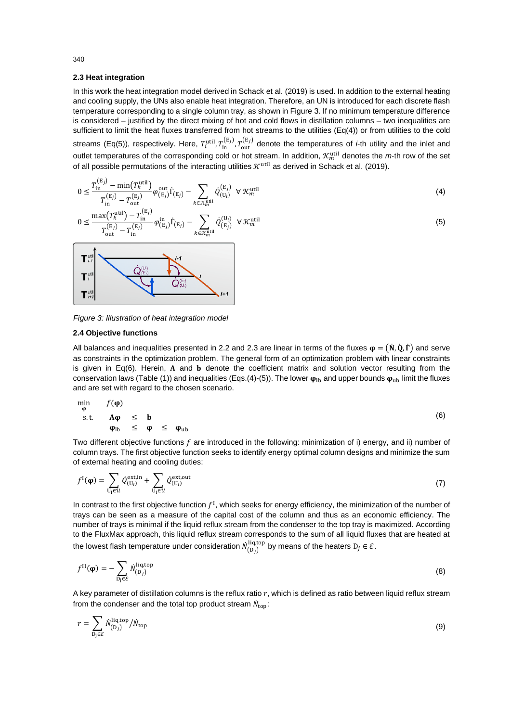#### **2.3 Heat integration**

In this work the heat integration model derived in Schack et al. (2019) is used. In addition to the external heating and cooling supply, the UNs also enable heat integration. Therefore, an UN is introduced for each discrete flash temperature corresponding to a single column tray, as shown in Figure 3. If no minimum temperature difference is considered – justified by the direct mixing of hot and cold flows in distillation columns – two inequalities are sufficient to limit the heat fluxes transferred from hot streams to the utilities (Eq(4)) or from utilities to the cold streams (Eq(5)), respectively. Here,  $T_i^{util}, T_{in}^{(E_j)}, T_{out}^{(E_j)}$  denote the temperatures of *i*-th utility and the inlet and outlet temperatures of the corresponding cold or hot stream. In addition,  $\mathcal{K}_m^{\text{util}}$  denotes the m-th row of the set of all possible permutations of the interacting utilities  $\mathcal{K}^{\text{util}}$  as derived in Schack et al. (2019).

$$
0 \leq \frac{T_{\text{in}}^{(\text{E}_j)} - \min(T_k^{\text{util}})}{T_{\text{in}}^{(\text{E}_j)} - T_{\text{out}}^{(\text{E}_j)}} \varphi_{(\text{E}_j)}^{\text{out}} \Gamma_{(\text{E}_j)} - \sum_{k \in \mathcal{K}_m^{\text{util}}} Q_{(U_l)}^{(\text{E}_j)} \ \forall \mathcal{K}_m^{\text{util}} \tag{4}
$$

$$
0 \leq \frac{\max(T_k^{\text{util}}) - T_{\text{in}}^{(E_j)}}{T_{\text{out}}^{(E_j)} - T_{\text{in}}^{(E_j)}} \varphi_{(E_j)}^{\text{in}} \dot{\Gamma}_{(E_j)} - \sum_{k \in \mathcal{K}_m^{\text{util}}} \dot{Q}_{(E_j)}^{(U_l)} \ \forall \ \mathcal{K}_m^{\text{util}} \tag{5}
$$



*Figure 3: Illustration of heat integration model*

### **2.4 Objective functions**

All balances and inequalities presented in 2.2 and 2.3 are linear in terms of the fluxes  $\phi = (\dot{N}, \dot{Q}, \dot{\Gamma})$  and serve as constraints in the optimization problem. The general form of an optimization problem with linear constraints is given in Eq(6). Herein,  $A$  and  $b$  denote the coefficient matrix and solution vector resulting from the conservation laws (Table (1)) and inequalities (Eqs.(4)-(5)). The lower  $\varphi_{\rm lb}$  and upper bounds  $\varphi_{\rm ub}$  limit the fluxes and are set with regard to the chosen scenario.

$$
\min_{\varphi} f(\varphi) \n\text{s.t.} \quad A\varphi \leq b \n\varphi_{\text{lb}} \leq \varphi \leq \varphi_{\text{ub}}
$$
\n(6)

Two different objective functions  $f$  are introduced in the following: minimization of i) energy, and ii) number of column trays. The first objective function seeks to identify energy optimal column designs and minimize the sum of external heating and cooling duties:

$$
f^{I}(\boldsymbol{\varphi}) = \sum_{\mathbf{U}_{\mathbf{l}} \in \mathcal{U}} \dot{Q}_{(\mathbf{U}_{l})}^{\text{ext,in}} + \sum_{\mathbf{U}_{\mathbf{l}} \in \mathcal{U}} \dot{Q}_{(\mathbf{U}_{l})}^{\text{ext,out}} \tag{7}
$$

In contrast to the first objective function  $f^I$ , which seeks for energy efficiency, the minimization of the number of trays can be seen as a measure of the capital cost of the column and thus as an economic efficiency. The number of trays is minimal if the liquid reflux stream from the condenser to the top tray is maximized. According to the FluxMax approach, this liquid reflux stream corresponds to the sum of all liquid fluxes that are heated at the lowest flash temperature under consideration  $\dot N^{\rm liq,top}_{({\rm D}_j)}$  by means of the heaters  ${\rm D}_j\in\mathcal E.$ 

$$
f^{\text{II}}(\mathbf{\varphi}) = -\sum_{\text{D}_j \in \mathcal{E}} \dot{N}_{\text{(D}_j)}^{\text{liq,top}} \tag{8}
$$

A key parameter of distillation columns is the reflux ratio  $r$ , which is defined as ratio between liquid reflux stream from the condenser and the total top product stream  $\dot{N}_{\text{top}}$ :

$$
r = \sum_{\mathbf{D_j} \in \mathcal{E}} \dot{N}_{(\mathbf{D}_j)}^{\text{liq,top}} / \dot{N}_{\text{top}} \tag{9}
$$

340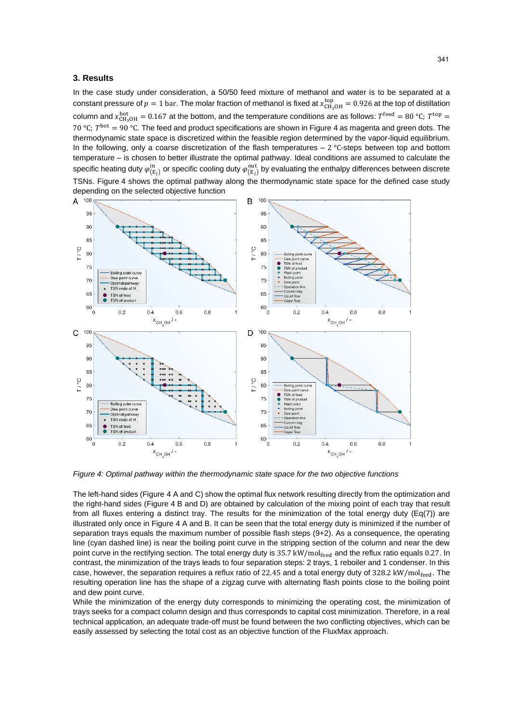#### **3. Results**

In the case study under consideration, a 50/50 feed mixture of methanol and water is to be separated at a constant pressure of  $p=1$  bar. The molar fraction of methanol is fixed at  $x_{CH_3OH}^{top}=0.926$  at the top of distillation column and  $x_{CH_3OH}^{bot} = 0.167$  at the bottom, and the temperature conditions are as follows:  $T^{feed} = 80 °C$ ;  $T^{top} =$ 70 °C;  $T^{bot} = 90$  °C. The feed and product specifications are shown in Figure 4 as magenta and green dots. The thermodynamic state space is discretized within the feasible region determined by the vapor-liquid equilibrium. In the following, only a coarse discretization of the flash temperatures – 2 °C-steps between top and bottom temperature – is chosen to better illustrate the optimal pathway. Ideal conditions are assumed to calculate the specific heating duty  $\varphi_{\rm (E_{f})}^{\rm in}$  or specific cooling duty  $\varphi_{\rm (E_{f})}^{\rm out}$  by evaluating the enthalpy differences between discrete TSNs. Figure 4 shows the optimal pathway along the thermodynamic state space for the defined case study depending on the selected objective function



*Figure 4: Optimal pathway within the thermodynamic state space for the two objective functions*

The left-hand sides (Figure 4 A and C) show the optimal flux network resulting directly from the optimization and the right-hand sides (Figure 4 B and D) are obtained by calculation of the mixing point of each tray that result from all fluxes entering a distinct tray. The results for the minimization of the total energy duty (Eq(7)) are illustrated only once in Figure 4 A and B. It can be seen that the total energy duty is minimized if the number of separation trays equals the maximum number of possible flash steps (9+2). As a consequence, the operating line (cyan dashed line) is near the boiling point curve in the stripping section of the column and near the dew point curve in the rectifying section. The total energy duty is 35.7 kW/molfeed and the reflux ratio equals 0.27. In contrast, the minimization of the trays leads to four separation steps: 2 trays, 1 reboiler and 1 condenser. In this case, however, the separation requires a reflux ratio of 22.45 and a total energy duty of 328.2 kW/mol $_{\text{feed}}$ . The resulting operation line has the shape of a zigzag curve with alternating flash points close to the boiling point and dew point curve.

While the minimization of the energy duty corresponds to minimizing the operating cost, the minimization of trays seeks for a compact column design and thus corresponds to capital cost minimization. Therefore, in a real technical application, an adequate trade-off must be found between the two conflicting objectives, which can be easily assessed by selecting the total cost as an objective function of the FluxMax approach.